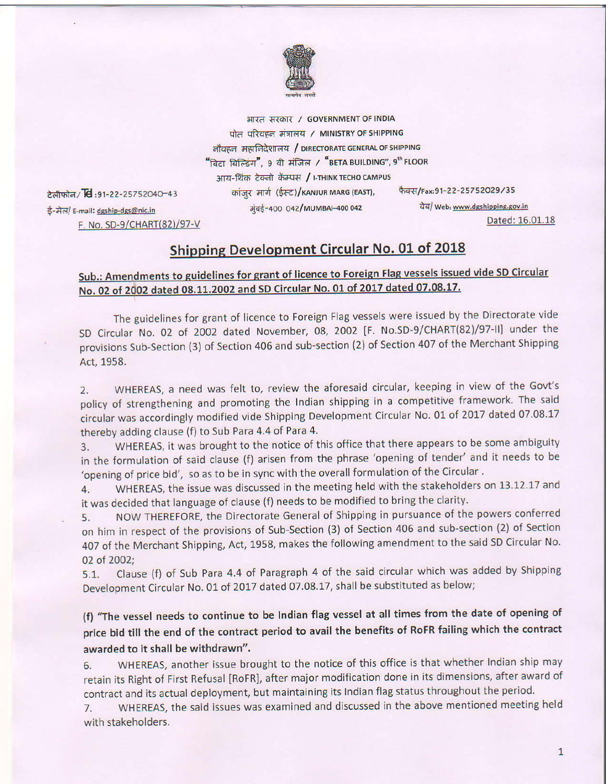

भारत सरकार / GOVERNMENT OF INDIA पोत परिवहन मंत्रालय / MINISTRY OF SHIPPING नौवहन महानिदेशालय / DIRECTORATE GENERAL OF SHIPPING "बिटा बिल्डिंग", १ वी मंजिल / "BETA BUILDING", 9<sup>th</sup> FLOOR आय-थिंक टेक्नो कॅम्पस / I-THINK TECHO CAMPUS फैक्स/Fax:91-22-25752029/35 कांजुर मार्ग (ईस्ट)/KANJUR MARG (EAST),

टेलीफोन/ $\overline{6}$ :91-22-25752040-43 ई-मेल/ E-mail: dgship-dgs@nic.in F. No. SD-9/CHART(82)/97-V

मुंबई-400 042/MUMBAI-400 042

वेब/ Web: www.dgshipping.gov.in

Dated: 16.01.18

## **Shipping Development Circular No. 01 of 2018**

## Sub.: Amendments to guidelines for grant of licence to Foreign Flag vessels issued vide SD Circular No. 02 of 2002 dated 08.11.2002 and SD Circular No. 01 of 2017 dated 07.08.17.

The guidelines for grant of licence to Foreign Flag vessels were issued by the Directorate vide SD Circular No. 02 of 2002 dated November, 08, 2002 [F. No.SD-9/CHART(82)/97-II] under the provisions Sub-Section (3) of Section 406 and sub-section (2) of Section 407 of the Merchant Shipping Act, 1958.

WHEREAS, a need was felt to, review the aforesaid circular, keeping in view of the Govt's  $2.$ policy of strengthening and promoting the Indian shipping in a competitive framework. The said circular was accordingly modified vide Shipping Development Circular No. 01 of 2017 dated 07.08.17 thereby adding clause (f) to Sub Para 4.4 of Para 4.

WHEREAS, it was brought to the notice of this office that there appears to be some ambiguity 3. in the formulation of said clause (f) arisen from the phrase 'opening of tender' and it needs to be 'opening of price bid', so as to be in sync with the overall formulation of the Circular.

WHEREAS, the issue was discussed in the meeting held with the stakeholders on 13.12.17 and 4. it was decided that language of clause (f) needs to be modified to bring the clarity.

NOW THEREFORE, the Directorate General of Shipping in pursuance of the powers conferred 5. on him in respect of the provisions of Sub-Section (3) of Section 406 and sub-section (2) of Section 407 of the Merchant Shipping, Act, 1958, makes the following amendment to the said SD Circular No. 02 of 2002;

Clause (f) of Sub Para 4.4 of Paragraph 4 of the said circular which was added by Shipping  $5.1.$ Development Circular No. 01 of 2017 dated 07.08.17, shall be substituted as below;

(f) "The vessel needs to continue to be Indian flag vessel at all times from the date of opening of price bid till the end of the contract period to avail the benefits of RoFR failing which the contract awarded to it shall be withdrawn".

WHEREAS, another issue brought to the notice of this office is that whether Indian ship may 6. retain its Right of First Refusal [RoFR], after major modification done in its dimensions, after award of contract and its actual deployment, but maintaining its Indian flag status throughout the period.

WHEREAS, the said issues was examined and discussed in the above mentioned meeting held 7. with stakeholders.